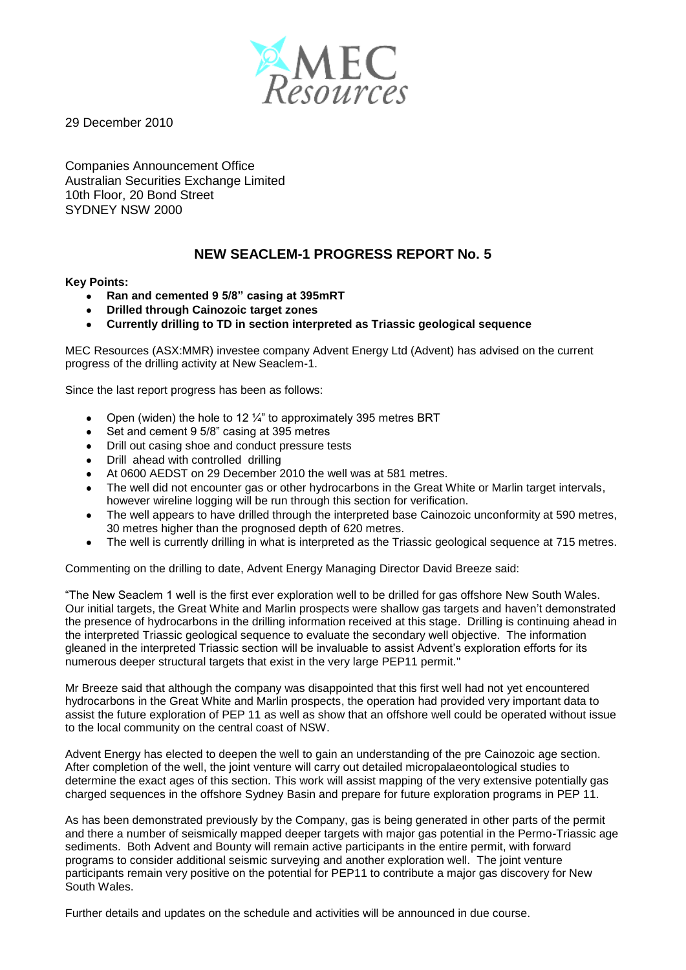

29 December 2010

Companies Announcement Office Australian Securities Exchange Limited 10th Floor, 20 Bond Street SYDNEY NSW 2000

## **NEW SEACLEM-1 PROGRESS REPORT No. 5**

## **Key Points:**

- **Ran and cemented 9 5/8" casing at 395mRT**  $\bullet$
- **Drilled through Cainozoic target zones**
- **Currently drilling to TD in section interpreted as Triassic geological sequence**

MEC Resources (ASX:MMR) investee company Advent Energy Ltd (Advent) has advised on the current progress of the drilling activity at New Seaclem-1.

Since the last report progress has been as follows:

- Open (widen) the hole to 12  $\frac{1}{4}$ " to approximately 395 metres BRT  $\bullet$
- $\bullet$ Set and cement 9 5/8" casing at 395 metres
- $\bullet$ Drill out casing shoe and conduct pressure tests
- $\bullet$ Drill ahead with controlled drilling
- At 0600 AEDST on 29 December 2010 the well was at 581 metres.  $\bullet$
- The well did not encounter gas or other hydrocarbons in the Great White or Marlin target intervals, however wireline logging will be run through this section for verification.
- The well appears to have drilled through the interpreted base Cainozoic unconformity at 590 metres,  $\bullet$ 30 metres higher than the prognosed depth of 620 metres.
- The well is currently drilling in what is interpreted as the Triassic geological sequence at 715 metres.  $\bullet$

Commenting on the drilling to date, Advent Energy Managing Director David Breeze said:

"The New Seaclem 1 well is the first ever exploration well to be drilled for gas offshore New South Wales. Our initial targets, the Great White and Marlin prospects were shallow gas targets and haven't demonstrated the presence of hydrocarbons in the drilling information received at this stage. Drilling is continuing ahead in the interpreted Triassic geological sequence to evaluate the secondary well objective. The information gleaned in the interpreted Triassic section will be invaluable to assist Advent's exploration efforts for its numerous deeper structural targets that exist in the very large PEP11 permit."

Mr Breeze said that although the company was disappointed that this first well had not yet encountered hydrocarbons in the Great White and Marlin prospects, the operation had provided very important data to assist the future exploration of PEP 11 as well as show that an offshore well could be operated without issue to the local community on the central coast of NSW.

Advent Energy has elected to deepen the well to gain an understanding of the pre Cainozoic age section. After completion of the well, the joint venture will carry out detailed micropalaeontological studies to determine the exact ages of this section. This work will assist mapping of the very extensive potentially gas charged sequences in the offshore Sydney Basin and prepare for future exploration programs in PEP 11.

As has been demonstrated previously by the Company, gas is being generated in other parts of the permit and there a number of seismically mapped deeper targets with major gas potential in the Permo-Triassic age sediments. Both Advent and Bounty will remain active participants in the entire permit, with forward programs to consider additional seismic surveying and another exploration well. The joint venture participants remain very positive on the potential for PEP11 to contribute a major gas discovery for New South Wales.

Further details and updates on the schedule and activities will be announced in due course.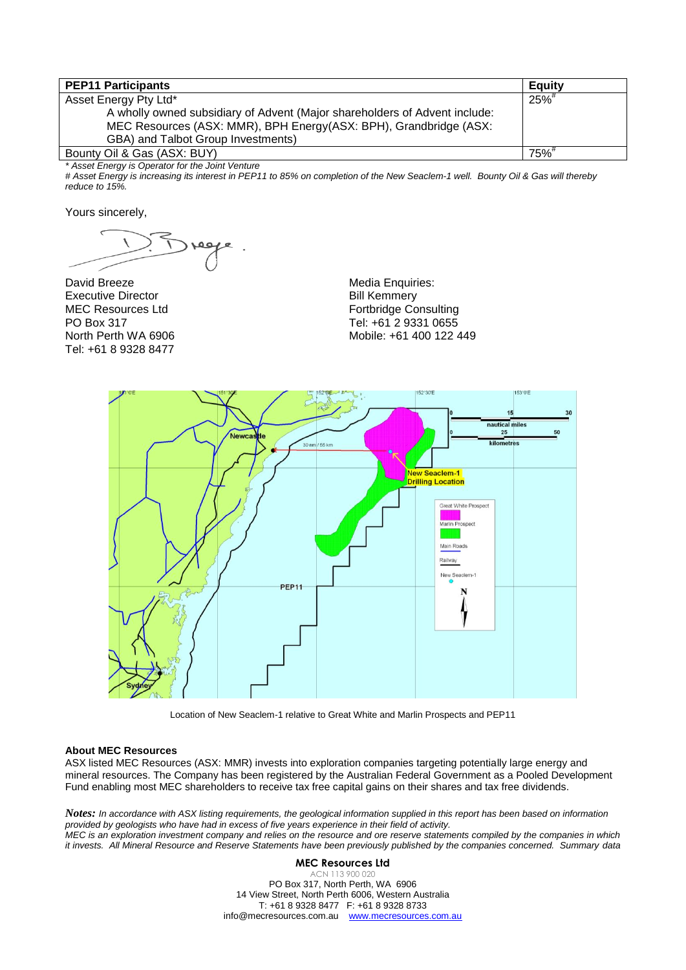| <b>PEP11 Participants</b>                                                  | <b>Equity</b>       |
|----------------------------------------------------------------------------|---------------------|
| Asset Energy Pty Ltd*                                                      | $25\%$ <sup>#</sup> |
| A wholly owned subsidiary of Advent (Major shareholders of Advent include: |                     |
| MEC Resources (ASX: MMR), BPH Energy(ASX: BPH), Grandbridge (ASX:          |                     |
| GBA) and Talbot Group Investments)                                         |                     |
| Bounty Oil & Gas (ASX: BUY)                                                | $75\%$              |

*\* Asset Energy is Operator for the Joint Venture*

*# Asset Energy is increasing its interest in PEP11 to 85% on completion of the New Seaclem-1 well. Bounty Oil & Gas will thereby reduce to 15%.*

Yours sincerely,

David Breeze Executive Director MEC Resources Ltd PO Box 317 North Perth WA 6906 Tel: +61 8 9328 8477

Media Enquiries: Bill Kemmery Fortbridge Consulting Tel: +61 2 9331 0655 Mobile: +61 400 122 449



Location of New Seaclem-1 relative to Great White and Marlin Prospects and PEP11

## **About MEC Resources**

ASX listed MEC Resources (ASX: MMR) invests into exploration companies targeting potentially large energy and mineral resources. The Company has been registered by the Australian Federal Government as a Pooled Development Fund enabling most MEC shareholders to receive tax free capital gains on their shares and tax free dividends.

*Notes: In accordance with ASX listing requirements, the geological information supplied in this report has been based on information provided by geologists who have had in excess of five years experience in their field of activity. MEC is an exploration investment company and relies on the resource and ore reserve statements compiled by the companies in which it invests. All Mineral Resource and Reserve Statements have been previously published by the companies concerned. Summary data* 

## **MEC Resources Ltd**

ACN 113 900 020 PO Box 317, North Perth, WA 6906 14 View Street, North Perth 6006, Western Australia T: +61 8 9328 8477 F: +61 8 9328 8733 info@mecresources.com.au www.mecresources.com.au